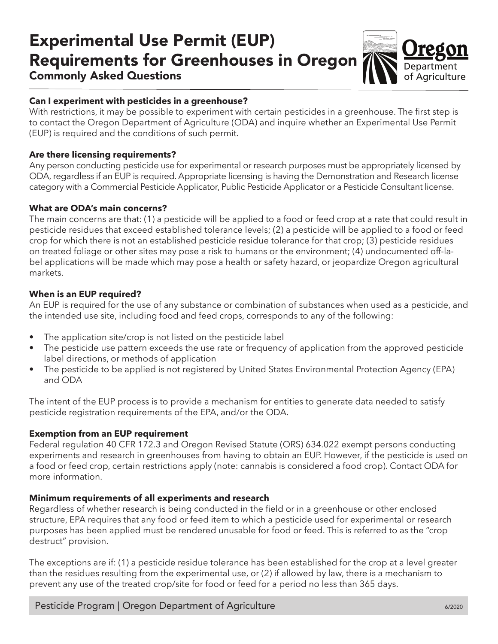# Experimental Use Permit (EUP) Requirements for Greenhouses in Oregon



## Commonly Asked Questions

### **Can I experiment with pesticides in a greenhouse?**

With restrictions, it may be possible to experiment with certain pesticides in a greenhouse. The first step is to contact the Oregon Department of Agriculture (ODA) and inquire whether an Experimental Use Permit (EUP) is required and the conditions of such permit.

#### **Are there licensing requirements?**

Any person conducting pesticide use for experimental or research purposes must be appropriately licensed by ODA, regardless if an EUP is required. Appropriate licensing is having the Demonstration and Research license category with a Commercial Pesticide Applicator, Public Pesticide Applicator or a Pesticide Consultant license.

#### **What are ODA's main concerns?**

The main concerns are that: (1) a pesticide will be applied to a food or feed crop at a rate that could result in pesticide residues that exceed established tolerance levels; (2) a pesticide will be applied to a food or feed crop for which there is not an established pesticide residue tolerance for that crop; (3) pesticide residues on treated foliage or other sites may pose a risk to humans or the environment; (4) undocumented off-label applications will be made which may pose a health or safety hazard, or jeopardize Oregon agricultural markets.

#### **When is an EUP required?**

An EUP is required for the use of any substance or combination of substances when used as a pesticide, and the intended use site, including food and feed crops, corresponds to any of the following:

- The application site/crop is not listed on the pesticide label
- The pesticide use pattern exceeds the use rate or frequency of application from the approved pesticide label directions, or methods of application
- The pesticide to be applied is not registered by United States Environmental Protection Agency (EPA) and ODA

The intent of the EUP process is to provide a mechanism for entities to generate data needed to satisfy pesticide registration requirements of the EPA, and/or the ODA.

#### **Exemption from an EUP requirement**

Federal regulation 40 CFR 172.3 and Oregon Revised Statute (ORS) 634.022 exempt persons conducting experiments and research in greenhouses from having to obtain an EUP. However, if the pesticide is used on a food or feed crop, certain restrictions apply (note: cannabis is considered a food crop). Contact ODA for more information.

#### **Minimum requirements of all experiments and research**

Regardless of whether research is being conducted in the field or in a greenhouse or other enclosed structure, EPA requires that any food or feed item to which a pesticide used for experimental or research purposes has been applied must be rendered unusable for food or feed. This is referred to as the "crop destruct" provision.

The exceptions are if: (1) a pesticide residue tolerance has been established for the crop at a level greater than the residues resulting from the experimental use, or (2) if allowed by law, there is a mechanism to prevent any use of the treated crop/site for food or feed for a period no less than 365 days.

Pesticide Program | Oregon Department of Agriculture 6/2020